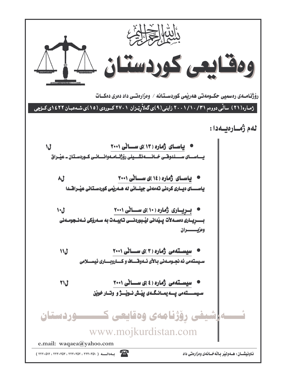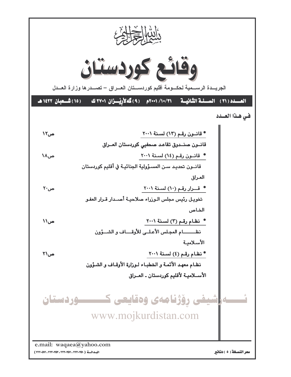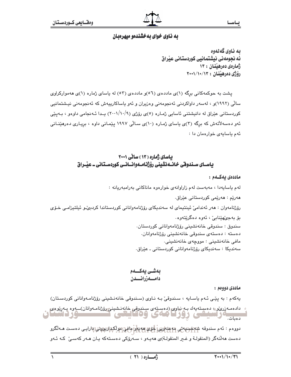# به ناوی خوای بهخشندهو میهرهبان

به ناوي گەلەوە ئه نحومەنى نىشتمانىي كوردستانى عىراق ژمارەي دەرھىنان : ١٣ دۆۋى دەرھىنيان : ١٣/١٠/١٠

پشت به حوکمهکانی برگه (۱)ی ماددهی (٥٦)و ماددهی (٥٣) له پاسای ژماره (١)ی ههموارکراوی سالی (۱۹۹۲)و ، لەسەر داواكردنی ئەنجومەنی وەزیران و ئەو ياساكارييەش كە ئەنجومەنی نیشتمانیی کوردستانی عێراق له دانیشتنی ئاسایی ژمـاره (٥)ی رۆژی (۰۰۱/۱۰/۹) پــدا ئـه نجامی داوهو ، بـهیێی ئەو دەسەلاتەش كە برگە (٣)ى ياساي ژمارە (١٠)ى سالى ١٩٩٧ يێمانى داوە ، بريارى دەرھێنانى ئهم باسايهى خوارهمان دا:

# بیاسای ژماره (۱۳) سانی ۲۰۰۱ یاسـای سـندوقی خـانــهنشینی رۆژنـامــهوانـــانــی کوردسـتـانی ــ عیـْــراق

### ماددەي بەكــەم :

لهم ياسايەدا ، مەبەست لەم زاراوانەي خوارەوە ماناكانى بەرامبەريانە : هەرێم : ھەرێمى كوردستانى عێراق٠ رۆژنامەوان : ھەر ئەندامى ئىنتيماي لە سەندىكاي رۆژنامەوانانى كوردستاندا كردىھى ئىلتىزامى خىۆي بۆ بەجىّھێنابىّ ، ئەوە دەگرێتەوە. سندوق : سندوقي خانەنشيني رۆژنامەواناني كوردستان. دەستە : دەستەي سندوقى خانەنشىنى رۆژنامەوانان. مافي خانەنشىنى : مووچەي خانەنشىنى. سەندىكا : سەندىكاي رۆژنامەوانانى كوردستانى ـ عێراق.

## بەشى يەكـــەم دامسەزرائىسدن

ماددي دوودم :

يەكەم : بە يێى ئـەم ياسـايە ، سـندوقى بـە نـاوى (سـندوقى خانەنـشينى رۆژنامـەوانانى كوردسـتان) ءِ دادهمـهزري، دهسـتهيهك بـه نياوي (دهسـتهي سـندوقي خانهنـشيني رۆژنامـهوانان)ــهوه پـهرِيوهي

یتی رورتامهی ودکایا نزرد سحاق دەمات.

دووهم : ئەم سندوقە <del>شەخسىيەتى مەعنە</del>ۇيى خۇ*ي ھە*تبار مانى مولكىداربورنى بارايى دەست مەلگرو دهست ههڵنهگر (المنقولـة و غـبر المنقولـة)ي ههيـهو ، سـهرۆكي دهسـتهكه يـان هـهر كهسـيٰ كـه ئـهو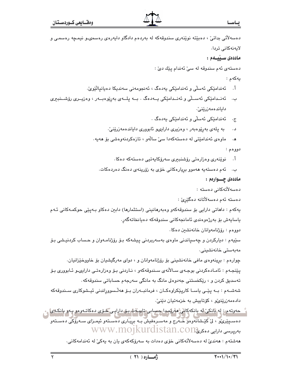| دهسهلاتی بداتیْ ، دهبیْته نویْنەری سندوقەکە لە بەردەم دادگاو دايەرەی رەسمىیو نیمچە رەسمى و                                                           |                    |
|------------------------------------------------------------------------------------------------------------------------------------------------------|--------------------|
| لايەنەكانى تردا.                                                                                                                                     |                    |
| ماددەى سىيىلەم :                                                                                                                                     |                    |
| دهستهی ئهم سندوقه له سیّ ئهندام پێك دیّ :                                                                                                            |                    |
|                                                                                                                                                      | يەكەم :            |
| ئەندامێکی ئەسلّی و ئەندامێکی يەدەگ ، ئەنجومەنی سەندىكا دەيانپالێوێ.                                                                                  | Ĭ.                 |
| ب.    ئەنــدامێکى ئەســڵى و ئەنــدامێکى يــەدەگ . بــە پلــەى بەڕێوەبــەر ، وەزيــرى رۆشــنبيرى                                                      |                    |
| داياندەمەزرێنێ٠                                                                                                                                      |                    |
| ئەندامێکى ئەسلّى و ئەندامێکى يەدەگ .                                                                                                                 | $\cdot \tau$       |
| به پلهى بەرپوەبەر ، وەزيرى دارايى ئابوورى داياندەمەزرێنىٚ.                                                                                           | د.                 |
| ماوەي ئەندامێتى لە دەستەكەدا سىّ سالەو ، تازەكردنەوەشى بۆ ھەيە.                                                                                      | $\cdot \mathbf{A}$ |
|                                                                                                                                                      | دووهم :            |
| أ.     نوێنەرى وەزارەتى رۆشنبېرى سەرۆكايەتيى دەستەكە دەكا.                                                                                           |                    |
| ب.    ئەم دەستەيە ھەموو بړيارەكانى خۆى بە زۆرينەى دەنگ دەردەكات.                                                                                     |                    |
| ماددەى چــوارەم :                                                                                                                                    |                    |
|                                                                                                                                                      |                    |
| دەسەلآتەكانى دەستە :                                                                                                                                 |                    |
| دەستە ئەم دەسەلأتانە دەگێڕێ :                                                                                                                        |                    |
| یهکهم : داهاتی دارایی بۆ سندوقهکهو وهبهرهانینی (استثمارها) دابین دهکاو بـهپێی حوکمـهکانی ئـهم                                                        |                    |
| ياسايەش بۆ بەرژەرەندى ئامانجەكانى سندوقەكە دەيانخاتەگەر.                                                                                             |                    |
| دووهم : رۆژنامەوانان خانەنشىن دەكا.                                                                                                                  |                    |
| سێڀهم : ديارکردن و چهسپاندنی ماوهی بهسهربردنی پيشهکه بـۆ رۆژنامـهوان و حـساب کردنيـشی بـۆ                                                            |                    |
| مەبەستى خانەنشىنى.                                                                                                                                   |                    |
| چوارهم : بړینهوهي مافي خانهنشیني بۆ رۆژنامهوانان و ، دوای مهرگیشیان بۆ خاووخێزانیان.                                                                 |                    |
| پێنجەم : ئامـادەكردنى بوجـەي سـالأنەي سـندوقەكەو ، نـاردنى بـۆ وەزارەتـى دارايىو ئـابوورى بـۆ                                                        |                    |
| تەسدىق كردن و ، رێكخستنى جەدوەلى مانگ بە مانگى سەرجەم حساباتى سندوقەكە .                                                                             |                    |
| شەشــەم : بــە پێـی یاســا کارپێکراوەکــان ، فرمانبــەران بـۆ ھەڵـسووڕاندنی ئیــشوکاری ســندوقەکە                                                    |                    |
| دادەمەزرينىڭ ، كۆتاييش بە خزمەتيان دينى،                                                                                                             |                    |
| حهوتهم : له بانکی له بانکهکانی ههریمدا حسابی تایب ف بی دارایی ځی ی دهکات وهو په و بانکهی                                                             |                    |
| دهسـپیْریکْو ، لیْ کُیْـشَانهْوهوَ خَـهْرج و مهسـرهفیش بــه برِیـْـاری دهسـتهو ئیمـزای ســهروکی دهسـتهو<br>WWW.MOJKUrdistan.com بەرپرىسى دارايى دەكر |                    |

هەشتەم : ھەندىّ لە دەسەلأتەكانى خۆى دەدات بە سەرۆكەكەي يان بە يەكىّ لە ئەندامەكانى٠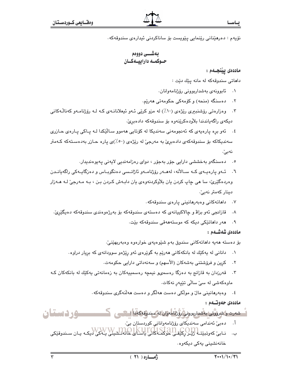نۆيەم : دەرھێنانى رێنمايى يێويست بۆ ساناكردنى ئيدارەي سندوقەكە .

### ماددەى يێنجـەم :

داهاتی سندوقهکه له مانه یێك دێت :

- ۰۱ ئابوونەي بەشداربوونى رۆژنامەوانان.
- ۲. دهسنگه (منحه) و کۆمەکى حکومەتى ھەرێم.
- ۴. وەزارەتى رۆشنىبيرى رێژەي (١٠٪) لە مزو كرێي ئـەو ئىيعلانانـەي كـە لـە رۆژنامـەو كەناڭـەكانـى ديكەي راگەياندندا بلاودەكرينەوە بۆ سندوقەكە دادەبرىّ.
- ٤. ئەو برە پارەيەى كە ئەنجومەنى سەندىكا لە كۆتايى ھەموو سـالێكدا لـە پـاكى پـارەى حـازرى سەندىكاكە بۆ سندوقەكەي دادەبرى بە مەرجى لە ريزەي (٥٠٪)ى يارە حـازر بەدەسـتەكە كـەمتر نەبى".
	- ۰۵ دەسنگەو بەخششى دارايى جۆر بەجۆر ، دواى رەزامەنديى لايەنى پەيوەندىدار.
- ٦. ئــهو پارەپــهى كــه ســالأنه، لەھــەر رۆژنامــەو ئاژانــسى دەنگوبــاس و دەزگاپــەكى راگەپانــدن وهردهگێرێ، سا هي ڇاپ کردن ڀان بلاّوکردنهوهي ڀان دابـهش کـردن بـن ، بـه مـهرجيّ لـه هـهزار دینار کهمتر نهیرٌ.
	- ۰۷ داهاته کانی وهبهرهانینی یارهی سندوقهکه.
	- ۸. قازانجي ئەو بزاۋ و چالاكييانەي كە دەستەي سندوقەكە بۆ بەرژەوەندى سندوقەكە دەيگێږێ.
		- ۹. هەر داھاتتكى دېكە كە موستەھەقى سندوقەكە بتت.

ماددەى شەشــەم :

بۆ دەستە ھەيە داھاتەكانى سندوق بەم شێوەيەي خوارەوە وەبەربھێنىٚ.

- ۰۱ دانانی له یهکیْك له بانكهكانی ههریْم به گویْرهی ئهو ریْژهو سوودانهی كه بریار دراوه.
	- ۲. کرین و فرۆشتنی بهشهکان (الأسهم) و سهنهداتی دارایی حکومهت.
- قەرزدان بە قازانج بە دەزگا رەسىمىھ نيمچە رەسمىيەكان بە زەمانەتى يەكێك لە بانكەكان كـە  $\cdot$   $\mathsf{r}$ ماوەكەشى لە سىّ سالّى تێپەر نەكات.
	- ٤. وه به رهانینی مال و مولکی دهست هه لگر و دهست هه لنهگری سندوقهکه.

ماددەي جەوتــەم :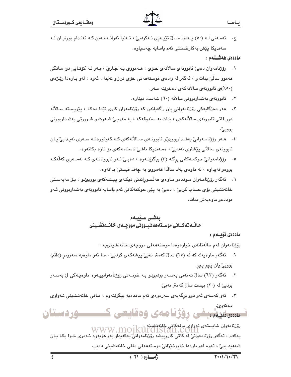تهمهنی له (٥٠) پهنجا سالٌ تێیهری نهکردبیؒ ، تهنیا ئهوانه نهبن که ئهندام بوونیان له  $\cdot \tau$ سەندىكا يٽش بەكارخستنى ئەم ياسايە چەسپاوە٠

### ماددەى ھەشــتەم :

- ١. رۆژنامەوان دەبى ئابوونەي سالآنەي خىرى ، ھـەمووى بـە جـارى ،، بـەر لـە كۆتـابى دوا مـانگى ههموو سالّیٌ بدات و ، ئهگهر له وادهی موستهههقی خوّی ترازاو نهیدا ، ئهوه ، لهو بـارهدا ریّیژهی (٥٠٪)ى ئابوونەي سالأنەكەي دەخرێتە سەر.
	- ۲. ئابوونەي بەشداربوونى سالانە (٦٠) شەست دېنارە.
- ۰۳ هـه در دهزگايهکي روزنامهواني بان راگهياندن که روزنامهوان کاري تێدا دهکا ، پێويسته سـالانه دوو قاتي ئابوونەي سالأنەكەي ، بدات بە سىندوقەكە ، بە مەرجىّ شـەرت و شـرووتى بەشـداربوونى بووبي'.
- ٤. \_ هــهر رۆژنامـهوانـێ بهشـداربوويوێو ئابوونـهي سـالأنهكهي كـه كهوتووهتـه سـهري نهيـدابـێ يـان ئابوونەي سالأنىي پێشترى نەدابىؒ ، ەسەندىكا ناشىؒ ناسنامەكەي بۆ تازە بكاتەوە.
- ٥. رۆژنامەوانی حوکمـەکانى برگـه (٤) بیگرێتـەوە ، دەبـی ٔ ئـەو ئابوونانـەی کـه لەسـەری کەلّەکـه بووهو نهيداوه ، له ماوهيَ يهك سالَّدا ههمووي به چهند قيستيٍّ بداتهوه .
- ٦. ﺋﻪﮔﻪﺭ ﺭﯙﮊﻧﺎﻣـﻪﻭﺍﻥ ﻣـﻮﺩﺩﻩﻭ ﻣـﺎﻭﻩﯼ ﻫﻪﯓﺴﻮﺭﺍﻧﺪﻧﯥ ﺩﯨﻜـﻪﻱ ﺑﯩﻴﺸﻪﻛﻪﻱ ﺑﻮﻭﺑێﻮ ، ﺑـﯚ ﻣﻪﺑﻪﺳـﺘﻰ خانەنشىنى بۆى حساب كرابى ، دەبى بە يێى حوكمەكانى ئەم ياسايە ئابوونەي بەشداربوونى ئـەو موددهو ماوهبهش بدات.

# بەشى سىيىەم حالسه تهكساني موسسته هه فيسووني مووجسهي خانسه نشسيني

### ماددەى نۆيسەم :

رۆژنامەوان لەم حالّەتانەي خوارەوەدا موستەھەقى مووچەي خانەنشىنىيە :

- ۰۱ ئەگەر ماوەيەك كە لە (٢٥) سالٌ كەمتر نەبىؒ يېشەكەي كردبىؒ ، سا ئەو ماوەيە سەرومرِ (دائم) بووبئ يان پڇر پڇر.
- ٢. ئەگەر (٦٣) سالٌ تەمەنى بەسـەر بردېږێو بـە خزمـەتى رۆژنامەوانييـەوە ماوەيـەكى ليٌ بەسـەر بردبيؒ له (٢٠) بيست سالؒ كهمتر نهبيؒ.
- ۳. ئەو كەسەي ئەو دوو برگەيەي سەرەوەي ئەم ماددەيە بېگرێتەوە ، مـافى خانەنـشىنى تـەواوى

دهکەوئ. تسسمهیشینی رؤژنامهی وهقایعی ک ـــــوردستان

رۆۋنامەوان شايستەي تەواوي مافەكانى خانەنشىنغە WWW.MOJKUITUISTAN.COM پهکهم : ئەگەر رۆژنامەوانىؒ لە کاتى کاروپيشە رۆژنامەوانىؒ پەکەپداو بەو ھۆپەوە ئـەمرى خـوا بکـا يـان شەھید بېئ` ، ئەوە لەو بارەدا خاووخێزانیٚ موستەھەقى مافى خانەنشىنى دەبن.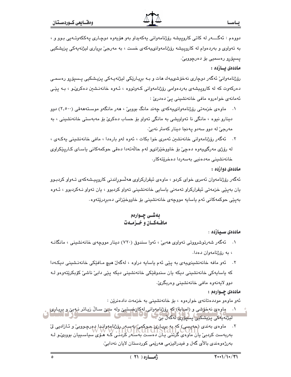دووهم : ئەگـــــەر لە كاتى كاروپيشە رۆژنامەوانى يەكەپداو بەو ھۆيەوە دوچـارى يەككەوتــەيى بـوو و ، به تەواوى و بەردەوام لە كاروپيشە رۆژنامەوانى يەكەي خست ، بە مەرجىؒ بريارى ليژنەپەكى پزيشكيى يسيۆرو رەسمىي بۆ دەرچووبىؒ٠

### ماددەى يــازدە :

رۆژنامەوانیؒ ئەگەر دوچاری نەخۆشىيەك ھات و بـﻪ برِيـارێکى ليژنەيـەکى پزيـشکيى پـسپۆرو رەسمـى دەركەوت كە لە كاروپیشەی بەردەوامی رۆژنامەوانی كـەوتووە ، ئـەوە خانەنـشىن دەكرىؒـو ، بـە يێـی ئەمانەي خواەروە مافى خانەنشىنى يې دەدرىٰ :

- ۱. ماوەي خزمەتى رۆژنامەوانىيەكەي جەند مانگ بوويى ، ، ھەر مانگەو موسىتەھەقى (٢,٥٠٠) دوو دينارو نيوه ، مانگي نا تەواويشى بە مانگى تەواو بۆ حساب دەكرىٰ بۆ مەبەستى خانەنشىنى ، بە مەرجىؒ لە دوڧ سەدڧ پەنجا دېنار كەمتر نەبىؒ.
- ٢. \_ ئەگەر رۆژنامەوانى خانەنشىن ئەمرى خوا بكات ، ئەوە لەو بارەدا ، مافى خانەنشىنى پەكـەي ، له رۆژی مەرگىيەوە دەچىؒ بۆ خاووخێزانىو لەم حاڵەتەدا دەقى حوكمەكانى ياسـاى كـارپێكراوى خانەنشىنى مەدەنيى بەسەردا دەخرىتەكار.

### ماددەي دوازدە :

ئەگەر رۆژنامەوان ئەمرى خواي كردو ، ماوەي ئېقراركراوي ھەلّسوراندنى كاروپېشەكەي تـەواو كردېـوو يان بەپێى خزمەتى ئيقراركراو تەمەنى ياسايى خانەنشينى تەواو كردبوو ، يان تەواو نـﻪكردبوو ، ئـﻪوە بەيێى حوكمەكانى ئەم ياسايە مووچەي خانەنشىنى بۆ خاووخێزانى دەبردرێتەوە.

### ماددەى سىيازدە :

- ۱. ئەگەر شەرتوشىرووتىي تەواوى ھەبىن ، ئەوا سىندوق (۷۲۰) دېنار مووچەي خانەنشىپنى ، مانگانــە ، په رۆژنامەوان دەدا.
- ۲. ئەو مافە خانەنشىنىيەي بە پێى ئەم ياسايە دراوە ، لەگەلْ ھىچ مـافێكى خانەنـشىنى دىكـەدا که پاسایهکی خانهنشینی دیکه یان سندوقێکی خانهنشینی دیکه پێی دابیٚ ناشیٚ کۆبکرێتهوهو لـه دوو لايەنەوە مافى خانەنشىنى وەربگرى.

### ماددهۍ چــوارهم :

ئەو ماوەو موددەتانەي خوارەوە ، بۆ خانەنشىنى بە خزمەت دادەنرێن :

- لیژنه یه کی پزیشکیی پسپوری له گهل بی
	- ۲. ماوه ی بهندی (حهیسی) که به بریاری حوکمی به سهر بوژنامهوان اربع رچـووبی و شازادیی لیّ بەربەست كردىبى يآن ماۋەي گرَتْنَي يانْ دەست بەسلەر كَرْدَنَـّى كَـه مْـۆِي سياسـىيان بووبى و لـه بەرژەوەندى بالأى گەل و فيدراليزمى ھەرێمى كوردستان لايان نەدابىؒ·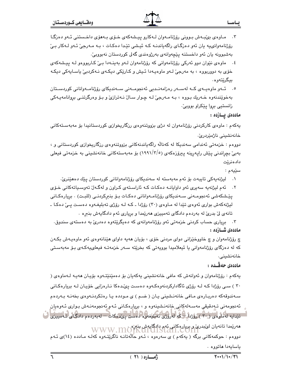- ۰۳ مـاوه ی بی بهش بـوونی روّژنامـهوان لـهکارو پیـشهکهی خـوّی بـههوّی داخـستنی ئـهو دهزگـا رۆژنامەوانىيە يان ئەو دەزگـاى راگەياندنــه كــه ئيـشى تێدا دەكـات ، بــه مــەرجىّ ئــەو لــەكار بــىّ بەشبوونە يان ئەو داخستنە پێچەوانەي بەرژوەندى گەلى كوردستان نەبووبى،
- ٤. ماوهي نٽوان دوو ئەركى رۆژنامەوانى كە رۆژنامەوان لـەو بەينـەدا بـيٌ كـاربووەو لـە پيـشەكەي خۆی به دووربووه ، به مەرجیؒ لـهو ماوهپـهدا ئـیش و کـارێکی دیکـهی نـهکردبیؒ یاسـایهکی دیکـه بيگرێتەوە.
- ۰. ئــەو ماوەپــەي كــە لەســەر رەزامەنــدېي ئەنجومــەنى ســەندېكاي رۆژنامــەوانانى كوردســتان بهخوێندنهوه خـهریك بـووه ، بـه مـهرجیّ لـه چـوار سـالّ نـهترازیّ و بـوّ وهرگرتنـی بروانامهیـهکی زانستيي بروا يێکراو بووبيٚ٠

ماددەى يــازدە :

یهکهم : ماوهی کارکردنی رۆژنامهوان له دژی بزووتنهوهی رزگاریخوازی کوردستانیدا بۆ مەبەستەکانی خانەنشىنى ناژمۆردرىؒ.

دووهم : خزمەتى ئەندامى سەندىكا لە كەنالە راگەياندنەكانى بزووتنەوەي رزگارىخوازى كوردستانى و ، بەبىّ بچراندنى يێش رايەرينە يېرۆزەكەي (١٩٩١/٣/٥) بۆ مەبەستەكانى خانەنشىنى بە خزمەتى فيعلى دادەنرێت

سێڽه ۽ :

- ١. ليژنهيەكى تايبەت بۆ ئەم مەبەستە لە سەندېكاي رۆژنامەوانانى كوردستان يێك دەھێنريّ.
- ٢. ئهم ليژنهيه سهيري ئهو داوايانـه دهكات كـه ئاراسـتهي كـراون و لهگـهان تهوسـياتهكاني خـوّي يێشكەشى ئەنجومـەنى سـەندىكاي رۆژنامـەوانانى دەكـات بـۆ بنىركردنـى (للبـت) . بريارەكـانى ليژنه کهش بواري نهوهي تێدا له مـاوهي (٣٠) روِّژدا ـ کـه لـه روِّژي تهبليغـهوه دهسـت يـيّ دهکـا ـ تانهی لیٌ بدریٌ له بهردهم دادگای تهمییزی ههریِّمدا و بریاری ئهم دادگایهش بنبره .

۰۳ . بریاری حساب کردنی خزمه تی ئهو روزنامهوانهی که ده یگریتهوه دهدری به دهستهی سندوق. ماددەى شــازدە :

چ رۆژنامەوان و چ خاووخێزاني دواي مردني خۆي ، بۆيان ھەيە داواي ھێنانەوەي ئەو ماوەپەش بكـەن که له دهزگای رۆژنامەوانی یا ئیعلامیدا بوویەتی که بخریته سـهر خزمەتــه فیعلىپيەکـهى بـۆ مەبەسـتى خانەنشىنى.

### ماددەى جەڤىدە :

پهکهم : رۆژنامهوان و ئەوانەش کە مافى خانەنشىنى پەکەپان بۆ دەمێنێتەوە بۆپان ھەپـە لـەماوەي ( ۳۰ ) سبی رۆژدا کـه لـه رۆژی ئاگادارکردنهوهکـهوه دهسـت یـیٌدهکا نـارهزایی خوّیـان لـه بریارهکـانی سـهندوقهکه دهربـارهى مـافى خانهنـشينى يـان ( ضـم ) ى مـودده يـا رهتکردنـهوهى بخهنـه بـهردهم ئەنجومەنى تـﻪدقيقى مەسـﻪلەكانى خانەنـشينەوە و ، بريارەكـانى ئـﻪم ئەنجومەنـﻪش بـﻮارى ئـﻪوەيان تێدایه لهماوهی (۳۰٫ رؤژدا – که لهروژی تعبلیغهوه کامست پیدهکات – له به ردهم دادگای تـهمییزی ک مەريمدا تانەيان لىكبدرى و بريارەكانى ئەم دادگايەش بنازە WWW.MOTK دووهم : حوکمهکانی برگه ( یهکهم ) ی سهرهوه ، ئـهو حالّهتانـه ناگریتـهوه کهك مـادده (١٤)ی ئـهم باسايەدا ھاتووە .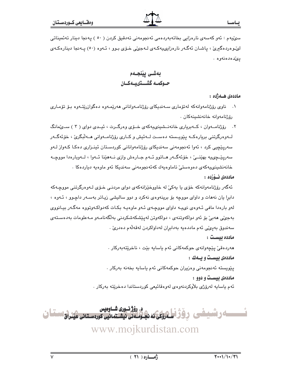سوٽيهم : ئەو كەسەي نارەزايى بخاتەبەردەمى ئەنجومەنى تەدقىق كردن ( ٥٠ ) يەنجا دىنار تەئمىناتى لهندوهردهگیری ، پاشان ئەگەر نارەزاپىيەكەي لـەجىمى خـۆي بـوو ، ئـەوە (٥٠) پـەنجا دېنارەكـەي يىدەدەنەوە .

بەشى يێنجـەم حـوكمـه گشــتىيــهكــان

ماددەى ھـەژدە :

- ۰۱ ناوی رۆژنامەوانەکە لەتۆماری سـەندىكای رۆژنامـەوانانى ھەرپمـەوە دەگوازرېتـەوە بـۆ تۆمـاری رۆژنامەوانە خانەنشىنەكان .
- ۲. رۆژنامــهوان ، كــهېريارى خانهنــشينىييەكهى خــۆى وەرگــرت ، ئيــدى دواى ( ۳ ) ســئمانگ لـــهوهرگرتنی بریارهکــه پێویــسته دهسـت لــهئیش و کــاری رۆژنامــهوانی هــهڵبگریّ ، خۆئەگــهر سەريێڇپي كرد ، ئەوا ئەنجومەنى سەندېكاي رۆژنامەوانانى كوردسىتان ئېنىزارى دەكا كـەواز لـەو سهريٽجي په بهٽنــيٰ ، خۆئهگــهر هــاتوو ئــهم جــارهش وازي نــههٽنا ئــهوا ، لــهوبارهدا مووجــه خانەنشىينى يەكەي دەوەستى تاماوەيەك كەئەنجومەنى سەندىكا ئەو ماوەيە دىاردەكا .

### ماددەي ئىۋزدە :

ئەگەر رۆژنامەوانەكە خۆي يا يەكى لە خاووخێزانەكەي دواي مردنـي خـۆي لـەوەرگرتنى مووجـەكە دابرا یان نههات و داوای مووچه بۆ برینهوهی نهکرد و دوو سالیشی زیاتر بهسـهر داچـوو ، ئـهوه ، لهو بارهدا مافی ئـهوهی نىپـه داواى مووچـهى ئـهو ماوهيـه بكـات كهدواكـهوتووه مهگـهر بيـانووى بەجى، ھەبى بۆ ئەو دواكەوتنەي ، دواكەوتن لەييشكەشكردنى بەلگەنامـەو مـەعلومات بەدەسـتەي سەندوق بەيئى ئەم ماددەيە بەدابران لەداواكردن لەقەلەم دەدرىّ . مادده بیست :

مەردەقى يێچەوانەي حوكمەكانى ئەم ياسايە بێت ، ناخرێتەبەركار .

ماددهی بیست و یـهك :

پێويسته ئەنجومەنى وەزيران حوكمەكانى ئەم ياسايە بخەنە بەركار .

ماددهی بیست و دوو :

ئهم ياسايه لهرۆژى بلاوكردنهوەي لەوەقائيعى كوردستاندا دەخريته بەركار .



www.mojkurdistan.com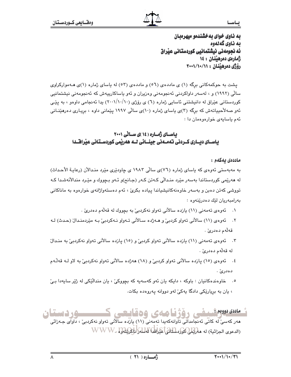به ناوی خوای بهخشندهو میهرهبان به ناوی گەلەوە ئه نجومەنى نيشتمانيى كوردستانى عيراق ژمارەى دەرھىنان : ١٤ رۆژى دەرھىنان : ١١/١٠/١٠/١٠

یشت به حوکمهکانی برگه (۱) ی ماددهی (٥٦) و ماددهی (٥٣) له یاسای ژماره (١)ی هـهموارکراوی سالی (۱۹۹۲) و ، لەسەر داواکردنی ئەنجومەنی وەزیران و ئەو پاساکارىيەش كە ئەنجومەنی نیشتمانیی کوردستانی عێراق له دانیشتنی ئاسایی ژماره (٦) ی رۆژی (١٠٠١/١٠/١٠) بدا ئه نجامی داوهو ، به پێـی ئهو صهلاًحییاتهش که برگه (۳)ی یاسای ژماره (۱۰)ی سالّی ۱۹۹۷ پیّمانی داوه ، برِیـاری دهرهیّنـانی ئهم ياسايهى خوارەوەمان دا :

# باسیای ژمپاره (۱۶)ی سیانی ۲۰۰۱ یاســای دیـــاری کـــردنی تــهـــــهنی جینــــائی لـــه هــهریمی کوردســتـانی عیْـراقـــدا

### ماددەى يەكەم :

به مەبەستى ئەوەي كە ياساي ژمارە (٧٦)ى سالى ١٩٨٣ ي چاودێرى مێرد مندالآن (رعايـة الأحداث) له هەرێمی کوردستاندا بەسەر مێرد منـدالّی کـەتن کـەر (جـانح)و ئـەو بـچووك و مێـرد مندالأنەشـدا کـه تووشي کهتن دهبن و بهسهر خاوهنهکانیشیاندا پیاده بکریٰ ، ئهم دهستهواژانهی خوارهوه به ماناکانی بەرامبەريان لێك دەدرێنەوە :

- ١. ئەوەي تەمەنى (١١) يازدە سالآنى تەواو نەكردېيّ بە بچووك لە قەلّەم دەدرىّ .
- ٢. ئەوەي (١١) سالأنى تەواو كردېن و ھــەژدە سـالأنى تــەواو نــەكردېـيّ بــه مێردمنـدالٌ (حـدث) لــه قەلەم دەدرىٰ .
- ۴. گەوەي تەمەنى (١١) يازدە سالانى تەواو كردېيّ و (١٥) يازدە سالانى تەواو نەكردېيّ بە مندالّ له قەلەم دەدرىٰ .
- ٤. ئەوەي (١٥) پازدە سالأنى تەواو كردېيّ و (١٨) ھەژدە سالأنى تەواو نەكردېيّ بە لاو لـﻪ قەلّـﻪم دەدرئ` .
- ٥. خاوهندهکانيان : باوکه ، دايکه يان ئهو کهسهيه که بچووکيّ ، يان منداليّکي له ژيّر سايهدا بيّ ، يان به بريارێکي دادگا پهکيٚ لهو دووانه پهروهده بکات.

ئەسەسىر شىغى رۆژنامەي ۋەقايچى ك ــــود دستان هەر كەسى لە كاتى ئەنجامداتى تاوانەكەيدا تەمەنى (١١) يازدە سالانى تەوار نەكردىى ، داراى جـەزائى

(الدعوى الجزائية) له هلوليلل كوكوسلناتها عيراني المسلوك المحكم المسلم WWW.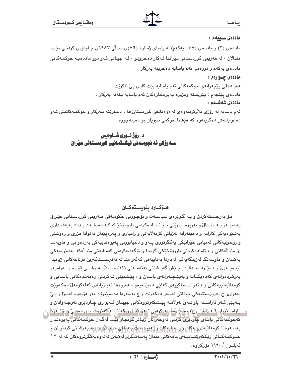### ماددەى سىيىمم :

مادده ی (۳) و مادده ی (٤٧ ـ یهکهم) له یاسای ژماره (٧٦)ی سالّی ۱۹۸۳ی چـاودێری کردنـی مێـرد مندالآن ، له هەرێمی کوردستانی عێراقدا لـﻪکار دەخریٚدو ، لـﻪ جيـاتی ئـﻪو دوو ماددەيـﻪ حوکمـﻪکانی مادده ی په که م و دووهمی نه م پاسايه ده خريته بهرکار. ماددەى چـوارەم :

> هەر دەقىٚ پێچەوانەی حوكمەكانى ئەم ياسايە بێت كارى پىٚ ناكرێت ٠ ماددەی پێنجەم : پێویستە وەزیرە پەيوەندارەكان ئەم ياسايە بخەنە بەركار . ماددەى شەشــەم :

ئهم یاسایه له رۆژی بلاْوکردنهوهی له (وهقایعی کوردستان)دا ، دهخریته بـهرکار و حوکمـهکانیش ئـهو دهعوایانهش دهگرێتهوه که هێشتا حوکمی بنبریان بۆ دەرنەچووه .

# د. رؤژ نسوري شساوهيس

# هـۆكــارە يێويســتەكــان

بـۆ بەرجـستەكردن و بـه گـوێرەی سیاسـەت و بۆچـوونی حكومـەتی ھـەرێمی كوردسـتانی عێـراق بەرامبــەر بــە منـدالٌ و بەرپرسـيارێتى بـۆ ئامـادەكردنى بارودۆخێـك كــە دەرفــەت بـدات بەبەشـدارى بهشنیوهیهکی کارامه و داهیننهرانه لهژیانی کوّمهلایهتی و رامیاری و پهرهپیدان بهتوانا هزری و ر<mark>هوشتی</mark> و رۆحىپيەكانى لەمپانى خێزانێكى پەكگرتورى پتەو و دڵنپابوونى پەيوەندىپيەكى بەردەوامى و ھاوبەنـد بۆ مندالّەكانى و ، ئامادەكردنى بارودۆخێكى گوئجا و بۆگەشەكردنى كەسابەتى مندالّەكە بەشێوەبەكى يەكسان و ھاوسەنگ لەژپنگەيەكى لەباردا بەتابيەتى كەئەو مندالە بەترســـناكترين قۆناغەكانى ژيانيدا تێدەپــەرێ و ، مێـرد منـداڵیش پـێش گەپـشتنی بەتەمــەنی (١١) ســالآن ھـۆشــی لاوازە بـــەرامبەر بەوكردەوانەي كەدەپكــات و بەيێچــەوانەي ياسـان و ، پێشبيني نـەكردنى رەھەنـدەكانى ياسـايي و كۆمەلأيەتييەكانى و ، ئەو ترسناكييەي كەلێى دەبێتەوەو ، ھەروەھا ئەو زيانەي كەلەكۆمەلڵ دەكـەوێت بەھۆىو چ بەرپرسێتيەكى جينائى لەسەر دەكەوێت و چ بەسەردا دەسپێنرێت بەو ھۆيەوە لەسزا و بـێ بــهيٽِي ئــهو ئاراســته باوانــهي لهولاُتــه پێـشکهوتووهکاني جيهــان لــهبواري ڇــاوڊٽِري نهوجــهوانان و - پاراسىتنيان لىك (الجنــوح) وە چارەسىـەركرەنى ئېەر لادان و كەتنانــە كەتورشىـيان دەمـى و بۆئــەۋە| که حوکمه کائی پاشای چاودیری کردنی نهوجهوانان ریاتر گونجـاو بیت لهگـهان حوکمـهکائی پـه یوهنـدار بەسەرەتا كۆمەلايەتىچەكان وياسايوكان و <mark>چەيو ەسىلى</mark> بەمانى مىيالان رىسەرپەرشتى كردنيـان و حــوکمـهکــانی رێِککهوتنــامــهی مافهکانی مندالٚ پهسهندگراو لهلایهن نهتهوهیهکگرتووهکان که له ۳ /

ئەبلــول / ١٩٩٠ مۆركراوە.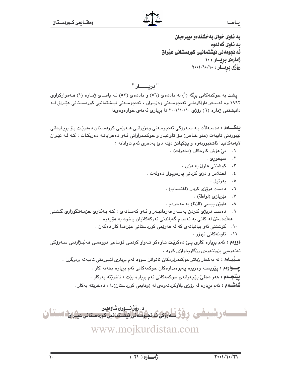به ناوی خوای به خشندهو میهرهبان به ناوي گەلەوە ئه نجومهنی نیشتمانیی کوردستانی عیراق ژمارەى بريــار : ١٠ رۆژى بريسار : ١٠١/١٠/١٠

یشت به حوکمهکانی برگه (أ) له ماددهی (٥٦) و ماددهی (٥٣) لـه یاسای ژماره (١) هـهموارکراوی ۱۹۹۲ وه لەسـەر داواكردنـی ئەنجومـەنی وەزیـران ، ئەنجومـەنی نیـشتمانیی كوردسـتانی عێـراق لــه دانیشتنی ژماره (٦) رۆژی ۲۰۰۱/۱۰/۱۰ دا بریاری ئهمهی خوارهوهىدا :

**يەكـــەم :** دەسـەلأت بــە سـەرۆكى ئەنجومــەنى وەزيرانــى ھــەرێمى كوردسـتان دەدرێـت بـۆ بريـاردانى لێبوردنی تایبهت (عفو خـاص) بـۆ تاوانبـار و حوکمـدراوانی ئـهو دهعوایانـه دهربکـات ، کـه لـه نێـوان لايەنەكانىدا ئاشتبوونەوە و يێكهاتن دێتە دێ بەدەرى ئەم تاوانانە :

- ۰۱ بي هوش کارهکان (مخدرات) .
	- ٢. سيخوري .
	- ۰۳ کوشتنی هاول به دزی .
- اختلاس و دزی کردنی پارهویولی دهولّهت .  $\cdot$  {
	- ٥. بەرتىل.
	- ٦. دەست دريزى كردن (اغتصاب) .
		- نێريازى (لواطة) .  $\cdot$  .  $\vee$
	- ۰۸ داوين پيسي (الزنا) به مهحرهم .
- دەست درێژى كىردن بەسـەر فەرمانبـەر و ئـەو كەسـانەي ، كـە بـەكارى خزمـەتگوزارى گىشتى  $\cdot$  9 هەلدەستن لە كاتى بە ئەنجام گەياندنى ئەركەكانيان ياخود بە ھۆيەوە ٠
	- ١٠. كوشتنى ئەو بيانيانەي كە لە ھەرپمى كوردستانى عيّراقدا كار دەكەن .
		- ۰۱۱ تاوانهکانی تیروّر .

**دووهم :** ئەم بريارە كارى يـێ دەكرێت تـاوەكو تـەواو كردنـى قۆنـاغى دووەمـى ھەلبـژاردنى سـەرۆكى نەتەرەپى بزوتنەرەي رزگاريخوازى كورد .

**ســيْيــهم :** له پهکجار زياتر حوکمدراوهکان ناتوانن سوود لهم برِياری لێبوردنی تايبهته وهرگرن .

چـــوارهم : پێویسته وهزیره یهیوهندارهکان حوکمهکانی ئهم بریاره بخهنه کار .

**ييْنْجِــهُمْ : م**ەر دەقى ّ يێچەوانەي حوكمەكانى ئەم بريارە بێت ، ناخرێتە بەركار .

**شُهشـهم :** ئهم برياره له رۆژى بلاْوكردنهوهى له (وقايعى كوردستان)دا ، دەخرێته بەكار .



www.mojkurdistan.com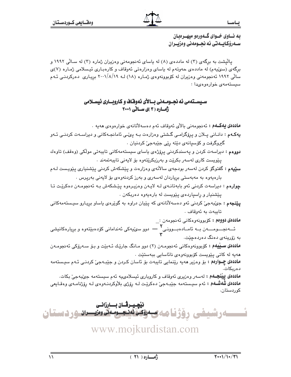پالیشت به برگهی (۳) له ماددهی (۸) له پاسای ئهنجومهنی وهزیران ژماره (۳) له سـالّی ۱۹۹۲ و برگهی (سوێپهم) له ماددهی حهوتهم له باسای وهزارهتی ئهوقاف و کارهبـاری ئیـسلامی ژمـاره (۷)ی سالی ۱۹۹۲ ئەنجومەنی وەزیران لە كۆبوونەوەی ژمارە (۱۸) لـه ۲۰۰۱/۸/۱۹ بریاری دەركردنـی ئـهم سيستهمهي خوار دو دي.دا

سـيسـتهمي نه نجـومـهني بـالآي نهوفـّاف و كـاروبــاري نيسـلامي **ڈمسارہ ( ۳ )ی بیسائی ۲۰۰۱** 

**ماددەي يەكــەم :** ئەدجومەنى بالاي ئەوقاف ئەم دەسەلاتانەي خوارەوەي ھەيە .

- **یهکهم :** دانـانی پـلان و پرِۆگرامـی گـشتی وهزارهت بـه پیُمی ئامانجـهکانی و دیراسـهت کردنـی ئـهو گيروگرفت و کۆسيانەي دێتە رێي جێبەجێ کردنيان ٠
- دووهم : دیراسهت کردن و یهسندکردنی پرۆژەی یاسای سیستهمهکانی تایبهتی مولّکی (وهقف) تاوهك يێويست کاری لهسهر بکرێت و بهرزبکرێتهوه بۆ لايهنی تايبهتمهند .
- **سٽيهم : گفتوگ**ۆ کردن لهسەر بودجەی سالآنەی وەزارەت و پێشکەش کردنی پێشنیاری پێویست لـﻪم بارهیەوه بە مەبەستى بریاردان لەسەرى و بەرز كردنەوەى بۆ لايەنى بەرپرس .
- چوارهم : ديراسهت كردنى ئەو بابەتانىەى لـه لايـەن وەزيـرەوە يێشكەش بـه ئەنجومـەن دەكرێت تـا يێشنيار و راسياردهى يێويست له بارهيهوه دهربكهن .
- **پێنجهم :** جي⁄بهجيٰ کردنی ئهو دهسهلأتانهي که پێپان دراوه به گوێرهي پاساو برپارو سيستهمهکانی تابيەت بە ئەوقاف .

ماددەي دووەم : كۆبورنەوەكانى ئەنجومەن :\_ ئـــهنجــــومـــــهن بــه ئامــادهېـــوونــى Y — دوو سىنميەكى ئەندامانى كۆدەبىيتەوە و بږيارەكانىشى به زۆرينەي دەنگ دەردەچێت.

ماددهی سیلیهم : کوبوونهوهکانی ئەنجومەن (۲) دوو مـانگ جاریّك ئـەبیّت و بـۆ سـەرۆکی ئەنجومـەن هەيە لە كاتى يېرىست كۆبورنەرەي نائاسايى بېەستېت .

**ماددهی چــوارهم :** بق وهزیر هەیە رێنمایی تایبەت بق ئاسان کـردن و جێبـەجیٚ کردنـی ئـهم سیـستەمە دەرىكات.

**ماددەي يېنجــهم :** لەسەر وەزيرى ئەوقاف و كاروپارى ئېسلامىيە ئەم سېستەمە جېّبەجىّ بكات. ماددهي شهشــهم : ئهم سيـستهمه جێبـهجيّ دهكرێت لـه رِۆژي بلاّوكردنـهوهي لـه رِۆژنامـهي وهقـايعي کوردستان.

ني<u>ْھ ي</u>ــرڤــان بــــارزانــى <u>-ارشیفی رؤژنامه و موتوناسی با در استان</u>

www.mojkurdistan.com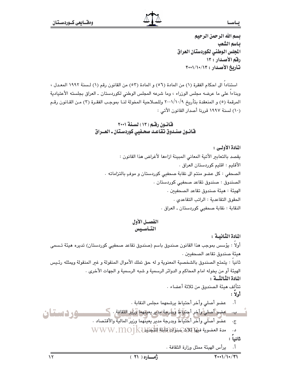بسم الله الرحمن الرحيم بياسم الشعب الجلس الوطني لكوردستان العراق رقم الأصدار : ١٣ تأريخ الأصدار : ٢٠٠١/١٠/١٣

استناداً الى احكام الفقرة (١) من المادة (٥٦) و المادة (٥٣) من القانون رقم (١) لسنة ١٩٩٢ المعدل ، وبناءا على ما عرضه مجلس الوزراء ، وما شرعه المجلس الوطني لكوردستان ـ العراق بجلسته الأعتيادية المرقمة (٥) و المنعقدة بتأريخ ٢٠٠١/١٠/٩ وللصلاحية المخولة لنـا بموجب الفقـرة (٣) مـن القـانون رقـم (١٠) لسنة ١٩٩٧ قررنا أصدار القانون الأتي :

# قانون رقم (١٣) لسنة ٢٠٠١ قانـون صنـدوق تقاعـد صحـفيي كوردسـتان ـ العــراق

# المادة الأولى : يقصد بالتعابير الأتية المعاني المبينة ازاءها لأغراض هذا القانون : الأقليم : اقليم كوردستان العراق . الصحفي : كل عضو منتم الى نقابة صحفيي كوردستان و موفٍ بالتزاماته . الصندوق : صندوق تقاعد صحفيي كوردستان . الهيئة : هيئة صندوق تقاعد الصحفيين . الحقوق التقاعدية : الراتب التقاعدى . النقابة : نقابة صحفيي كوردستان ـ العراق .

الفصــل الأول التأسيس

المادة الثّانسة :

أولاً : يؤسس بموجب هذا القانون صندوق باسم (صندوق تقاعد صحفيي كوردستان) تديره هيئة تـسمى هيئة صندوق تقاعد الصحفيين . ثانيا : يتمتع الصندوق بالشخصية المعنوية و له حق تملك الأموال المنقولة و غير المنقولة ويمثله رئـيس الهيئة أو من يخوله امام المحاكم و الدوائر الرسمية و شبه الرسمية و الجهات الأخرى . المادة الثمالثالة : تتألف ميئة الصندوق من ثلاثة أعضاء .  $\overline{\mathbf{y}}$ اولاً عضو أصلي وأخر أحتياط يرشحهما مجلس النقابة .  $\cdot$ ,  $\mathfrak{f}$ مِضِيٌّ أَصليٌّ وأخرٍ أَجتيَاهُ وبأرجة مِديرٍ يعينهما وُرْيُو الثقافة . ك وردستان ب. عضو أصلَّى وأخر أَحَتَيآطَ وبدرجة مدير يعينهما وزير المالية والأقتصاد .  $\cdot \overline{\mathbb{C}}$ مدة العضوية فيها ثلاثة سنوات WWW.MO1KU د. ثانياً : يرأس الهيئة ممثل وزارة الثقافة .  $\cdot$  ,  $\mathfrak{f}$  $\sqrt{4+1/1+1}$  $\sqrt{r}$ أمساره ( ٢١ )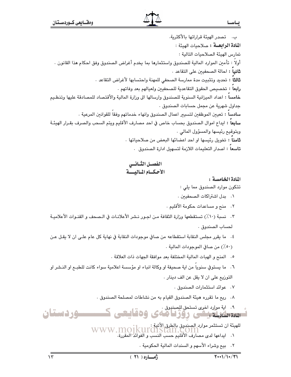ب. تصدر الهيئة قراراتها بالأكثرية. ا**لمادة الرابعــة :** صلاحيات الهيئة : تمارس الهيئة الصلاحيات التالية : أولاً : تأمين الموارد المالية للصندوق واستثمارها بما يخدم أغراض الصندوق وفق احكام هذا القانون . **ثانياً :** احالة الصحفيين على التقاعد . ثالثاً : تحديد وتثبيت مدة ممارسة الصحفى للمهنة واحتسابها لأغراض التقاعد . رابعا : تخصيص الحقوق التقاعدية للصحفيين ولعيالهم بعد وفاتهم . خامسا : اعداد الميزانية السنوية للصندوق وارسالها الى وزارة المالية والأقتصاد للمصادقة عليها وتنظيم جداول شهرية عن مجمل حسابات الصندوق . **سادسا : تع**يين الموظفين لتسيير اعمال الصندوق وانهاء خدماتهم وفقا للقوانين المرعية . **سابعاً** : ايداع اموال الصندوق بحساب خاص في احد مصارف الأقليم ويتم السحب والصرف بقـرار الهيئـة وبتوقيع رئيسها والمسؤول المالي . ثامنا : تخويل رئيسها او احد اعضائها البعض من صلاحياتها . <mark>تاسعا</mark> : اصدار التعليمات اللازمة لتسهيل ادارة الصندوق .

# الفصسل الثسانسي الأحكسام المساليسسة

المادة الخامسة:

تتكون موارد الصندوق مما يلي :

- ٠١ بدل اشتراكات الصحفيين .
- ٢. منح و مساعدات حكومة الأقليم .
- ٢. نسبة (١٠٪) تستقطعها وزارة الثقافة من اجـور نـشر الأعلانـات في الـصحف و القنـوات الأعلاميـة لحساب الصندوق .
- ٤. ما يقرر مجلس النقابة استقطاعه من صافي موجودات النقابة في نهاية كل عام علـى ان لا يقـل عـن (٥٠/) من صافي الموجودات المالية .
	- ٥. المنح و الهبات المالية المختلفة بعد موافقة الجهات ذات العلاقة .
- ٦. ما يستوفي سنويا من اية صحيفة او وكالة انباء او مؤسسة اعلامية سواء كانت للطبـم او النـشر او التوزيع على ان لا يقل عن الف دينار .
	- ٠٧ عوائد استثمارات الصندوق .
	- ٨. ريم ما تقرره هيئة الصندوق القيام به من نشاطات لمصلحة الصندوق ٠

.<br>شهیده اسلامله پشی روز ا های وهقاییی کسیسورد استان للهيئة ان تستثمر موارد الصندوق بالطرق الأتية :<br>WWW.MOJKUIGISLan.COM<br>۱. ايداعها لدى مصارف الأقليم حسب النسب و الفوائد المقررة.

- - ٢. بيم وشراء الأسهم و السندات المالية الحكومية .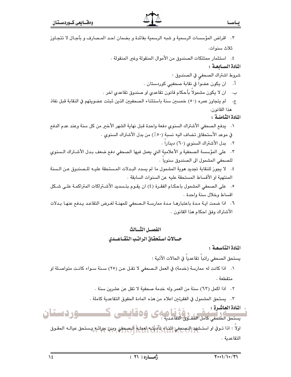| ٣.   اقراض المؤسسات الرسمية و شبه الرسمية بفائدة و بضمان احـد المـصارف و باَجـال لا تتجـاوز            |
|--------------------------------------------------------------------------------------------------------|
| ثلاث سنوات.                                                                                            |
| ٤.   استثمار ممتلكات الصندوق من الأموال المنقولة وغير المنقولة .                                       |
| المادة السيابعية :                                                                                     |
| شروط اشتراك الصحفيِ في الصندوق :                                                                       |
| ان ڀکون عضوا في نقابة صحفيي کوردستان .<br>j.                                                           |
| ان لا يكون مشمولا بأحكام قانون تقاعدي او صندوق تقاعدي اخر .<br>ب.                                      |
| لم يتجاوز عمره (٥٠) خمسين سنة باستثناء الصحفيين الذين ثبتت عضويتهم في النقابة قبل نفاذ<br>$\cdot \tau$ |
| هذا القانون.                                                                                           |
| المادة الثامنية :                                                                                      |
| ١.    يدفع الصحفي الأشتراك السنوي دفعة واحدة قبل نهاية الشهر الأخير من كل سنة وعند عدم الدفع           |
| في موعد الأستحقاق تضاف اليه نسبة (٥٠٪) من بدل الأشتراك السنوي .                                        |
| ٢. بدل الأشتراك السنوي (٦٠) دينارا .                                                                   |
| ٣.   على المؤسسة الصحفية و الأعلامية التي يعمل فيها الصحفي دفع ضعف بـدل الأشـتراك الـسنوي              |
| للصحفى المشمول الى الصندوق سنويا .                                                                     |
| ٤. لا يجوز للنقابة تجديد هوية المشمول ما لم يسدد البـدلات المـستحقة عليـه للـصندوق عـن الـسنة          |
| المنتهية او الأقساط المستحقة عليه عن السنوات السابقة .                                                 |
| ٥.   على الصحفى المشمول باحكـام الفقـرة (٤) ان يقـوم بتـسديد الأشـتراكات المتراكمـة علـى شـكل          |
| اقساط وخلال سنة واحدة .                                                                                |
| ٦. اذا ضمت ايـة مـدة باعتبارهـا مـدة ممارسـة الـصحفي للمهنـة لغـرض التقاعـد يـدفع عنهـا بـدلات         |
| الأشتراك وفق احكام هذا القانون .                                                                       |
|                                                                                                        |
| 法国一党团 计二级组件                                                                                            |

# حسالات استحقاق الراتب التقباعيدي

المادة التاسعة:

يستحق الصحفي راتباً تقاعدياً في الحالات الأتية :

١. اذا كانت له ممارسة (خدمة) في العمل الـصحفي لا تقـل عـن (٢٥) سـنة سـواء كانـت متواصـلة او متقطعة .

٢. اذا اكمل (٦٣) سنة من العمر وله خدمة صحفية لا تقل عن عشرين سنة .

٣. يستحق المشمول في الفقرتين اعلاه من هذه المادة الحقوق التقاعدية كاملة .

و المادة العاشرة :<br>تستحق المتحقي كامل الحقوق التقاعدية : كان و20 ألينتسي كـــــــــــور ف استسان

التقاعدية .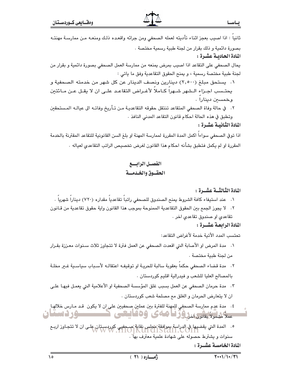ثانياً : اذا اصيب بعجز اثناء تأديته لعمله الصحفى ومن جرائه واقعده ذلك ومنعـه مـن ممارسـة مهنتـه بصورة دائمية و ذلك بقرار من لجنة طبية رسمية مختصة . المادة الحاديسة عشرة :

يحال الصحفي على التقاعد اذا اصبب بمرض يمنعه من ممارسة العمل الصحفي بصورة دائمية و بقرار من لجنة طبية مختصة رسمية ، و يمنح الحقوق التقاعدية وفق ما ياتي :

١. يستحق مبلغ (٢,٥٠٠) دينارين ونصف الدينار عن كل شهر من خدمته الصحفية و يحتـسب اجـزاء الـشهر شـهراً كـاملاً لأغـراض التقاعـد علـى ان لا يقـل عـن مـائتين وخمسين دينارا .

٢. في حالة وفاة الصحفى المتقاعد تنتقل حقوقه التقاعديـة مـن تـأريخ وفاتـه الى عيالـه المـستحقين وتطبق في هذه الحالة احكام قانون التقاعد المدنى النافذ .

المادة الثانيية عشرة :

اذا توفي الصحفي سواءاً اكمل المدة المقررة لممارسة المهنة او بلغ السن القانونية للتقاعد المقترنة بالخدمة المقررة او لم يكمل فتطبق بشأنه احكام هذا القانون لغرض تخصيص الراتب التقاعدي لعياله .

# القصيل الرابسيع الحقسوق والخدمسة

## المادة الثالثــة عشــرة :

- ٠١ عند استيفاء كافة الشروط يمنح الصندوق للصحفى راتبا تقاعديا مقداره (٧٢٠) دينارا شهريا .
- ٢. لا يجوز الجمع بين الحقوق التقاعدية الممنوحة بموجب هذا القانون واية حقوق تقاعدية من قـانون تقاعدی او صندوق تقاعدی اخر .
	- المادة الرابعة عشيرة :

تحتسب المدد الأتية خدمة لأغراض التقاعد:

١. مدة المرض او الأصابة التي اقعدت الصحفى عن العمل فترة لا تتجاوز ثلاث سـنوات معـززة بقـرار من لجنة طبية مختصة .

٢. مدة قضاء الصحفي حكما بعقوبة سالبة للحريـة او توقيفـه اعتقالـه لأسـباب سياسـية غــر مخلـة بالمصالح العليا للشعب و فيدرالية اقليم كوردستان .

٢. مدة حرمان الصحفي عن العمل بسبب غلق المؤسسة الصحفية او الأعلامية التي يعمـل فيهـا علـي ان لا يتعارض الحرمان و الغلق مع مصلحة شعب كوردستان .

٤. مدة عدم ممارسة الصحفى للمهنة للفترة بين عملين صحفيين على ان لا يكون قـد مـارس خلالهـا ملائشین تانیکدور امامی وهدایتی ک ــــوردستان

سنوات و يشترط حصوله على شهادة علمية معترف بها ً .

المادة الخامسة عشيرة :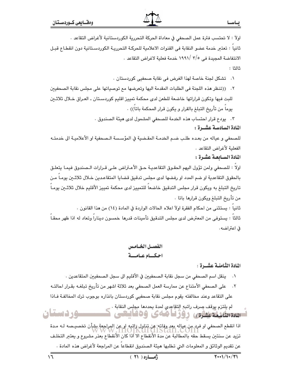اولاً : لا تحتسب فترة عمل الصحفي في معاداة الحركة التحررية الكوردستانية لأغراض التقاعد .

ثانيا : تعتبر خدمة عضو النقابة في القنوات الاعلامية للحركـة التحرريـة الكوردسـتانية دون انقطـاع قبـل الانتفاضة المجيدة في ٣/٥ /١٩٩١ خدمة فعلية لاغراض التقاعد ٠

ثالثا:

- ٠. تشكل لجنة خاصة لهذا الغرض في نقابة صحفيي كوردستان .
- ٢. ((تنظر هذه اللجنة في الطلبات المقدمة اليها وتعرضها مع توصياتها على مجلس نقابة الصحفيين للبت فيها وتكون قراراتها خاضعة للطعن لدى محكمة تمييز اقليم كوردستان ـ العراق خـلال ثلاثـين يوماً من تأريخ التبلغ بالقرار و يكون قرار المحكمة باتاً)) .

٢. يودع قرار احتساب هذه الخدمة للصحفى المشمول لدى هيئة الصندوق .

### المادة السادسة عشــرة :

للصحفى و عياله من بعده طلب ضم الخدمـة المقـضية في المؤسسة الـصحفية او الأعلاميـة الى خدمتـه الفعلية لأغراض التقاعد .

المادة السـابعـة عشـرة :

اولاً : للصحفى ولمن تؤول اليهم الحقـوق التقاعديـة حـق الأعـتراض علـى قـرارات الـصندوق فيمـا يتعلـق بالحقوق التقاعدية او ضم المدد او رفضها لدى مجلس تدقيق قضايا المتقاعدين خـلال ثلاثـين يومـا مـن تاريخ التبلغ به ويكون قرار مجلس التدقيق خاضعاً للتمييز لدى محكمة تمييز الأقليم خلال ثلاثـين يومـاً من تأريخ التبلغ ويكون قرارها باتا ٠

ثانياً : يستثنى من احكام الفقرة اولاً اعلاه الحالات الواردة في المادة (١٤) من هذا القانون . ثالثا : يستوفى من المعترض لدى مجلس التدقيق تأمينات قدرها خمسون دينارا وتعاد له اذا ظهر محقـا في اعتراضه.

الفصيل الخياميين احكيام عبامية

المادة الثامنية عشيرة :

- ٠. ينقل اسم الصحفي من سجل نقابة الصحفيين في الأقليم الى سجل الصحفيين المتقاعدين .
- ٢. على الصحفى الأمتناع عن ممارسة العمل الصحفى بعد ثلاثة اشهر من تأريخ تبلغـه بقـرار احالتـه على التقاعد وعند مخالفته يقوم مجلس نقابة صحفيي كوردستان بانذاره بوجوب ترك المخالفة فباذا

لم يلتزم بوقف صرف راتبه التقاعدي لمدة يحددها مجلس النقابة .<br>- يسمح المسلم التباريخ **سور دستان** استەرشىتىش، روزنامەي وەقايىتى

اذا انقطع الصحفي او فرد من عياله يعد وفاته: عن تناول راتبه او عن المراجعة بشأن تخصيـصه لـه مـدة<br>المسابق المسلم المسلم المسلم المسلم المسلم المسلم المسلم المسلم المسلم المسلم المسلم المسلم المسلم المسلم المس تزيد عن سنتين يسقط حقه بالمطالبة عن مدة الأنقطاع الا اذا كان الأنقطاع بعذر مشروع و يعتبر التخلـف عن تقديم الوثائق و المعلومات التي تطلبها هيئة الصندوق انقطاعاً عن المراجعة لأغراض هذه المادة .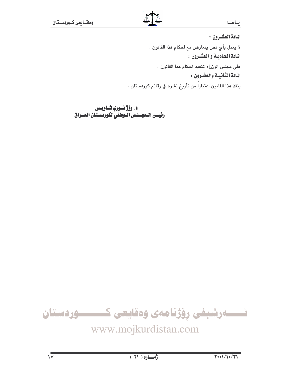## يحاسحا

المادة العشيرون : لا يعمل بأي نص يتعارض مع احكام هذا القانون . المادة الحاديبة و العشرون : على مجلس الوزراء تنفيذ احكام هذا القانون . المادة الثانيسة والعشرون : ينفذ هذا القانون اعتباراً من تأريخ نشره في وقائع كوردستان .

د. روّژ نـــوري شــاويــس<br>رئيــس الــمجـــلـس الــوطني لكوردســتـان الـعـــراق



# www.mojkurdistan.com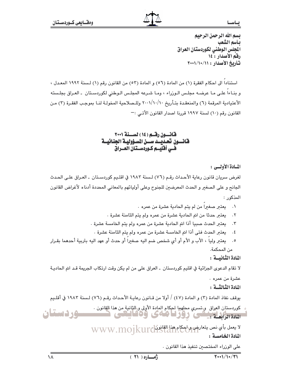ب اس

يسم الله الرحمن الرحيم بأسم الشعب الجلس الوطني لكوردستان العراق رفق الأصدار: ١٤ تأريخ الأصدار : ١١/١٠/١٠/١٠

استناداً الى احكام الفقرة (١) من المادة (٥٦) و المادة (٥٣) من القانون رقم (١) لسنة ١٩٩٢ المعدل ، و بذاءاً علـى مـا عرضـه مجلـس الـورْراء ، ومـا شـرعه المجلـس الـوطني لكوردسـتان ـ العـراق بجلـسته الأعتيادية المرقمة (٦) والمنعقدة بتـأريخ ٢٠٠١/١٠/١٠ وللـصلاحية المخولـة لنـا بموجب الفقـرة (٣) مـن القانون رقم (١٠) لسنة ١٩٩٧ قررنا اصدار القانون الأتـى :-

قانسون رقسم (١٤) لسنة ٢٠٠١ فانسون تحديسد سسن المسؤوليية الجنائيسة هـــ أفليـــم كــوردســتان العـــراق

المسادة الأوليسي :

لغرض سريان قانون رعاية الأحداث رقـم (٧٦) لـسنة ١٩٨٣ في اقلـيم كوردسـتان ـ العـراق علـي الحـدث الجانح و على الصغير و الحدث المعرضين للجنوح وعلى أوليائهم بالمعاني المحددة أدناه لأغراض القانون المذكور :

- ٠١ يعتبر صغيرا من لم يتم الحادية عشرة من عمره ٠
- يعتبر حدثًا من اتم الحادية عشرة من عمره ولم يتم الثامنة عشرة .  $\cdot$   $\cdot$   $\cdot$
- يعتبر الحدث صبيا أذا اتم الحادية عشرة من عمره ولم يتم الخامسة عشرة .  $\cdot$   $\mathsf{r}$
- يعتبر الحدث فتى أذا اتم الخامسة عشرة من عمره ولم يتم الثامنة عشرة .  $\cdot$  {
- يعتبر وليا ، الأب و الأم أو أي شخص ضم اليه صغيرا أو حدث أو عهد اليه بتربية أحدهما بقـرار  $\cdot$ .  $\circ$ من المحكمة.

المادة الثنائيسة:

لا تقام الدعوى الجزائية في اقليم كوردستان \_ العراق على من لم يكن وقت ارتكاب الجريمة قـد اتم الحاديـة

عشرة من عمره .

المادة الثنالثسة :

بوقف نفاذ المادة (٣) و المادة (٤٧) / أولا من قـانون رعايـة الأحـداث رقـم (٧٦) لـسنة ١٩٨٢ في أقلـيم

كوردستان العراق وتسري محلهما لحكام المادة الأولى وبالثانية من هذا القانون . وردستان للانقان المنتعى ووزنا ماءى ودفانغى

> لا يعمل بأي نص يتعارض واحكام هذل القانون WWW.mojkurdistan المادة الخامسية :

> > على الوزراء المختصين تنفيذ هذا القانون .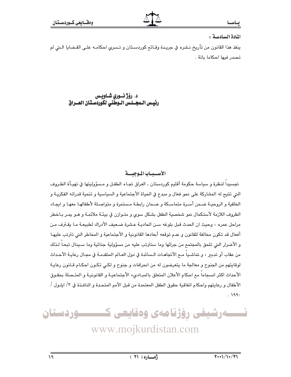### ادا س

### المادة السادسة:

ينفذ هذا القانون من تأريخ نشره في جريدة وقـائـع كوردسـتان و تـسري احكامـه علـى القـضايا الـتي لم تصدر فيها احكاما باتة .

# د. رۆژ نسوري شــاويــس<br>رئيــس الــمجـــلـس الــوطني لكوردسـتـان المـــراق

# الأسسيساب الموجيسية

تجسيداً لنظرة و سياسة حكومة أقليم كوردستان ـ العراق تجـاه الطفـل و مـسؤوليتها في تهيـأة الظـروف التي تتيح له المشاركة على نحو فعال و مبدع في الحياة الأجتماعية و السياسية و تنمية قدراته الفكريـة و الخلقية و الروحيـة ضـمن أسـرة متماسـكة و ضـمان رابطـة مـستمرة و متواصـلة لأطفالهـا معهـا و ايجـاد الظروف اللازمة لأستكمال نمو شخصية الطفل بشكل سوى و متـوازن في بيئـة ملائمـة و هـو يمـر بـاخطر مراحل عمره ، وحيث ان الحدث قبل بلوغه سـن الحاديـة عـشرة ضـعيف الأدراك لطبيعـة مـا يقـترف مـن أفعال قد تكون مخالفة للقانون و عدم توقعه أبعادها القانونية و الأجتماعية و المخاطر التي تترتب عليهـا و الأضرار التي تلحق بالمجتمع من جرائها وما ستترتب عليه من مسؤولية جنائية وما سـينال تبعـا لـذلك من عقاب أو تدبر ، و تماشـياً مـع الأتجاهـات الـسائدة في دول العـالم المتقدمـة في مجـال رعايـة الأحـداث لوقايتهم من الجنوح و معالجة ما يتعرضون له من انحرافات و جنوح و لكـي تكـون احكـام قـانون رعايـة الأحداث اكثر انسجاماً مع احكام الأعلان المتعلق بالمبـاديء الأجتماعيـة و القانونيـة و المتـصلة بحقـوق الأطفال و رعايتهم واحكام اتفاقية حقوق الطفل المعتمدة من قبل الأمم المتحدة و النافـذة في ٣/ ايلـول /  $.199.$ 

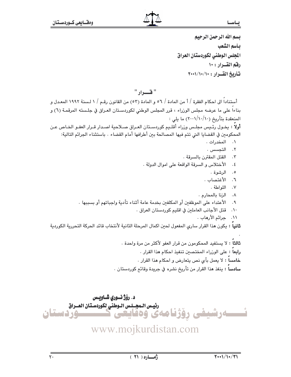يسم الله الرحمن الرحيم بأسم الشعب المجلس الوطنى لكوردستان العراق رفق القسرار : ١٠ تشاديخ القسران: ١٠/١٠/١٠٠١

# " قسرار "

أستناداً الى احكام الفقرة / أ من المادة / ٥٦ و المادة (٥٣) من القانون رقـم / ١ لـسنة ١٩٩٢ المعـدل و بناءاً على ما عرضه مجلس الوزراء ، قرر المجلس الوطنى لكوردسـتان العـراق في جلـسته المرقمـة (٦) و المنعقدة بتأريخ (١٠/١٠/١٠) ما يلي : أولاً : يخـول رئـيس مجلـس وزراء أقلـيم كوردسـتان العـراق صـلاحية اصـدار قـرار العفـو الخـاص عـن المحكومين في القضايا التي تتم فيها المصالحة بين أطرافها أمام القضاء . باستثناء الجرائم التالية: ٠. المخدرات. ٢. التحسس . ٠٣ القتل المقترن بالسرقة . الأختلاس و السرقة الواقعة على اموال الدولة .  $\cdot$  2 ٥. الرشوة . ٦. الأغتصاب . ٧. اللواطة. ٨. الزنا بالمحارم . الأعتداء على الموظفين أو المكلفين بخدمة عامة أثناء تأدية وإجباتهم أو بسببها .  $.9$ قتل الأجانب العاملين في اقليم كوردستان العراق .  $\mathcal{N}$ ١١. حرائم الأرهاب . **ثانياً :** يكون هذا القرار سارى المفعول لحين اكمال المرحلة الثانية لأنتخاب قائد الحركة التحررية الكوردية

> **ثالثاً :** لا يستفيد المحكومون من قرار العفو لأكثر من مرة واحدة . **رابعاً :** على الورراء المختصين تنفيذ احكام هذا القرار . **خامساً :** لا يعمل بأى نص يتعارض و احكام هذا القرار . سادساً : ينفذ هذا القرار من تأريخ نشره في جريدة وقائع كوردستان .

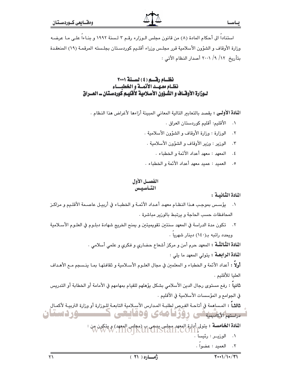استناداً إلى أحكام المادة (٨) من قانون مجلس الـوزارء رقـم ٣ لـسنة ١٩٩٢ و بنـاءاً علـى مـا عرضـه وزارة الأوقاف و الشؤون الأسلامية قرر مجلس وزراء أقليم كوردستان بجلسته المرقمة (١٩) المنعقدة بتأريخ ١٢/ ٩/ ٢٠٠١ أصدار النظام الأتي :

# نظام رقسم (٤) لسنة ٢٠٠١ نظام معهلد الأنملة والخطيساء لـوزارة الأوقـاف و الشـؤون الأسـلامية لأقليـم كوردسـتـان ــ العــراق

**المادة الأولى :** يقصد بالتعابير التالية المعاني المبينة أزاءها لأغراض هذا النظام .

- ٠. الأقليم: أقليم كوردستان العراق .
- الوزارة : وزارة الأوقاف و الشؤون الأسلامية .  $\cdot$   $\mathsf{r}$
- ٣. الوزير : وزير الأوقاف و الشؤون الأسلامية .
	- ٤. المعهد : معهد أعداد الأئمة والخطباء .
- ٥. العميد : عميد معهد أعداد الأئمة و الخطباء .

## الفصيل الأول التساسيس

# المادة الثيانيية :

- ١. فيؤسس بموجب هذا النظام معهد أعداد الأئمة والخطباء في أربيل عاصمة الأقليم ومراكز المحافظات حسب الحاجة و يرتبط بالورير مباشرة .
- ٢. تكون مدة الدراسة في المعهد سنتين تقويميتين و يمنح الخريج شهادة دبلـوم في العلـوم الأسـلامية ويحدد راتبه بـ(١٤٠) دينار شهريا .

**المادة الثَّالثَّـة :** المعهد حرم أمن و مركز أشعاع حضاري و فكرى و علمي أسلامي .

ا**لمادة الرابعــة :** يتولى المعهد ما يلي :

أولاً : أعداد الأئمة و الخطباء و المعلمين في مجال العلـوم الأسـلامية و ثقافتهـا بمـا ينـسجم مـع الأهـداف العليا للأقليم .

**ثانياً :** رفع مستوى رجال الدين الأسلامي بشكل يؤهلهم للقيام بمهامهم في الأمامة أو الخطابة أو التدريس في الجوامع و المؤسسات الأسلامية في الأقليم .

ثالثاً : المساهمة في أتاحـة الفـِرص لطلبـة المـدارس الأسـلامية التابعـة للـورارة أو وزارة التربيـة لأكمـال سسم لائتینیکی روزنامهی وهقایعی ک ــــــود دستان

ا**لمادة الخامسة :** يتولى أدارة المعهد مجلس يشتمي ب (مجلس المعهد) و يتكون من :<br>WWW.INOJKUICIST2H.COM

٠١ الوزيــر : رئيسا ١ ٢. العميد: عضوا.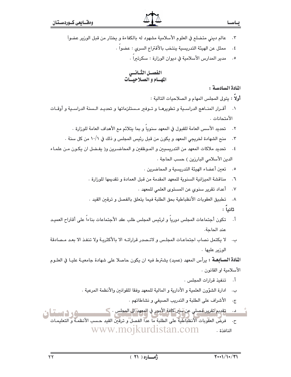- ٣. عالم ديني متضلع في العلوم الأسلامية مشهود له بالكفاءة و يختار من قبل الوزير عضواً
	- ممثل عن الهيئة التدريسية ينتخب بالأقتراع السرى : عضوا .  $\cdot$  {
		- ٥. مدير المدارس الأسلامية في ديوان الوزارة : سكرتيرا .

الفصسل الثسانسي المهيام والصلاحيسات

# المادة السادسة:

أولا : يتولى المجلس المهام و الصلاحيات التالية :

- ١. أقــرار المنــاهج الدراســية و تطويرهــا و تــوفير مـستلزماتها و تحديـد الـسنة الدراسـية و أوقــات الأمتحانات .
	- ٢. تحديد الأسس العامة للقبول في المعهد سنوياً و بما يتلائم مع الأهداف العامة للوزارة .
	- منح الشهادة لخريجي المعهد و يكون من قبل رئيس المجلس و ذلك في ١٠/١ من كل سنة .  $\cdot$   $\mathsf{r}$
- ٤. تحديد ملاكات المعهد من التدريسيين و المـوظفين و المحاضـرين و( يفـضل ان يكـون مـن علمـاء الدين الأسلامي البارزين ) حسب الحاجة .
	- ٥. تعين أعضاء الهيئة التدريسية والمحاضرين .
	- مناقشة الميزانية السنوية للمعهد المقدمة من قبل العمادة و تقديمها للوزارة .  $\mathcal{F}$ .
		- ٧. أعداد تقرير سنوى عن المستوى العلمى للمعهد .
	- ٨. تطبيق العقوبات الأنظباطية بحق الطلبة فيما يتعلق بالفصل وترقين القيد . ثانيا :
- أ. تكون أجتماعات المجلس دوريا و لرئيس المجلس طلب عقد الأجتماعات بناءاً على أقتراح العميـد عند الحاحة.
- ب. لا يكتمل نصاب اجتماعـات المجلس و لاتـصدر قراراتــه الا بالأكثريــة ولا تنفـذ الا بعـد مـصادقة الوزير عليها .

**المادة السـابعـة :** يرأس المعهد (عميد) يشترط فيه ان يكون حاصلا على شهادة جامعيـة عليـا في العلـوم الأسلامية او القانون .

- أ. تنفيذ قرارات المجلس .
- ب. ادارة الشؤون العلمية و الأدارية و المالية للمعهد وفقا للقوانين والأنظمة المرعية .
	- ج. الأشراف على الطلبة و التدريب الصيفي و نشاطاتهم .

تقديم تقرير قصلي عن سي كافة الأمور في المعهد الى المجلس . ك د . وردست

ح. فرضَ العقْويات الأَنظَكِأُطَيَة على الطلبة ما عداً الفصل ۚ و ترقَّينَ القيد حسب الأَنظمـة و التعليمـات النافذة . www.mojkurdistan.com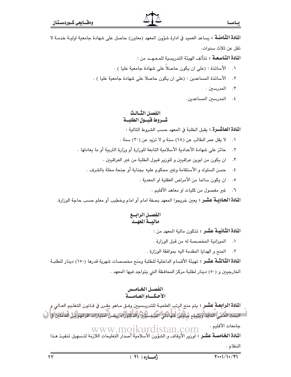ا**لمادة الثَّامنــة :** يساعد العميد في ادارة شوَّون المعهد (معاون) حاصل على شهادة جامعية اوليــة خدمــة لا تقل عن ثلاث سنوات.

ا**لمادة التّاسعـة:** تتألف الهيئة التدريسية للمـعـهـد من :

- ٠١ الأساتذة : (على ان يكون حاصلاً على شهادة جامعية عليا ) .
- الأساتذة المساعدين : (على ان يكون حاصلا على شهادة جامعية عليا ) .  $.7$ 
	- ۰۳ المدرسين .
	- ٤. المدرسين المساعدين.

# الفصل الثيالث شــروط فبسـول الطلبـــة

ا**لمادة العاشـــرة :** يقبل الطلبة في المعهد حسب الشروط التالية :

- ٠١ لا يقل عمر الطالب عن (١٨) سنة ولا تزيد عن (٣٠) سنة .
- حائز على شهادة الأعدادية الأسلامية التابعة للورارة أو وزارة التربية أو ما يعادلها .  $\cdot$   $\mathsf{r}$ 
	- ان يكون من ابوين عراقيين و للوزير قبول الطلبة من غير العراقيين .  $\cdot$   $\mathsf{r}$
	- حسن السلوك و الأستقامة وغير محكوم عليه بجناية أو جنحة مخلة بالشرف .  $\cdot$  {
		- ان يكون سالما من الأمراض العقلية او المعدية .  $\cdot$  .  $\circ$ 
			- ٦. غير مفصول من كليات او معاهد الأقليم .

**المادة الحاديــة عشــر :** يعين خريجوا المعهد بصفة امام أو امام وخطيب أو معلم حسب حاجة الوزارة.

ا**لمادة الثّانيـة عشـر :** تتكون مالية المعهد من :

- ٠١ الميزانية المخصصة له من قبل الوزارة .
- ٢. المنح والهدايا المقدمة اليه بموافقة الوزارة .

ا**لمادة الثَّالثَّـة عشـر :** تهيئة الأقسام الداخلية للطلبة ومنح مخصصات شهرية قدرها (١٥٠) دينار للطلبـة الخارجيين و (٥٠) دينار لطلبة مركز المحافظة التي يتواجد فيها المعهد .

# الفصــل الخـامــس<br>الأحـكـــام العـامـــة

**المادة الرابعـة عشـر :** يتم منح الرتب العلميـة للتدريـسيين وفـق مـاهو مقـرر في قـانون التعلـيم العـالي و أسالبحث العلمي النافذ ويتمتع فبأملوا شهادتى العاجستين والدكتوراء بنفس امتيازات اقرانهم من العاملين والن جامعات الأقليم . جامعات الاقليم .<br>ا**لمادة الخـّامسـة عشـر :** WWW . MO1KUrd1Stan . COM<br>ا**لمادة الخـامسـة عشـر :** لوزير الأوقاف و الشؤون الأسلامية أصدار التعليمات اللازمة لتـسهيل تنفيـذ هـذا النظام.